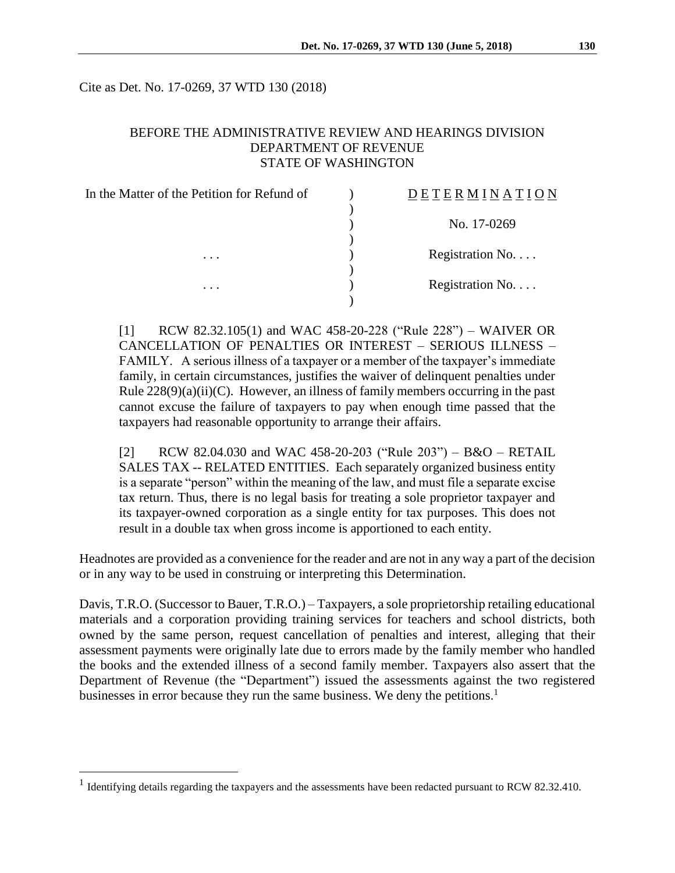Cite as Det. No. 17-0269, 37 WTD 130 (2018)

### BEFORE THE ADMINISTRATIVE REVIEW AND HEARINGS DIVISION DEPARTMENT OF REVENUE STATE OF WASHINGTON

| <b>DETERMINATION</b> |
|----------------------|
|                      |
| No. 17-0269          |
|                      |
| Registration No.     |
|                      |
| Registration No.     |
|                      |
|                      |

[1] RCW 82.32.105(1) and WAC 458-20-228 ("Rule 228") – WAIVER OR CANCELLATION OF PENALTIES OR INTEREST – SERIOUS ILLNESS – FAMILY. A serious illness of a taxpayer or a member of the taxpayer's immediate family, in certain circumstances, justifies the waiver of delinquent penalties under Rule  $228(9)(a)(ii)(C)$ . However, an illness of family members occurring in the past cannot excuse the failure of taxpayers to pay when enough time passed that the taxpayers had reasonable opportunity to arrange their affairs.

[2] RCW 82.04.030 and WAC 458-20-203 ("Rule 203") – B&O – RETAIL SALES TAX -- RELATED ENTITIES. Each separately organized business entity is a separate "person" within the meaning of the law, and must file a separate excise tax return. Thus, there is no legal basis for treating a sole proprietor taxpayer and its taxpayer-owned corporation as a single entity for tax purposes. This does not result in a double tax when gross income is apportioned to each entity.

Headnotes are provided as a convenience for the reader and are not in any way a part of the decision or in any way to be used in construing or interpreting this Determination.

Davis, T.R.O. (Successor to Bauer, T.R.O.) – Taxpayers, a sole proprietorship retailing educational materials and a corporation providing training services for teachers and school districts, both owned by the same person, request cancellation of penalties and interest, alleging that their assessment payments were originally late due to errors made by the family member who handled the books and the extended illness of a second family member. Taxpayers also assert that the Department of Revenue (the "Department") issued the assessments against the two registered businesses in error because they run the same business. We deny the petitions.<sup>1</sup>

 $\overline{a}$ 

<sup>&</sup>lt;sup>1</sup> Identifying details regarding the taxpayers and the assessments have been redacted pursuant to RCW 82.32.410.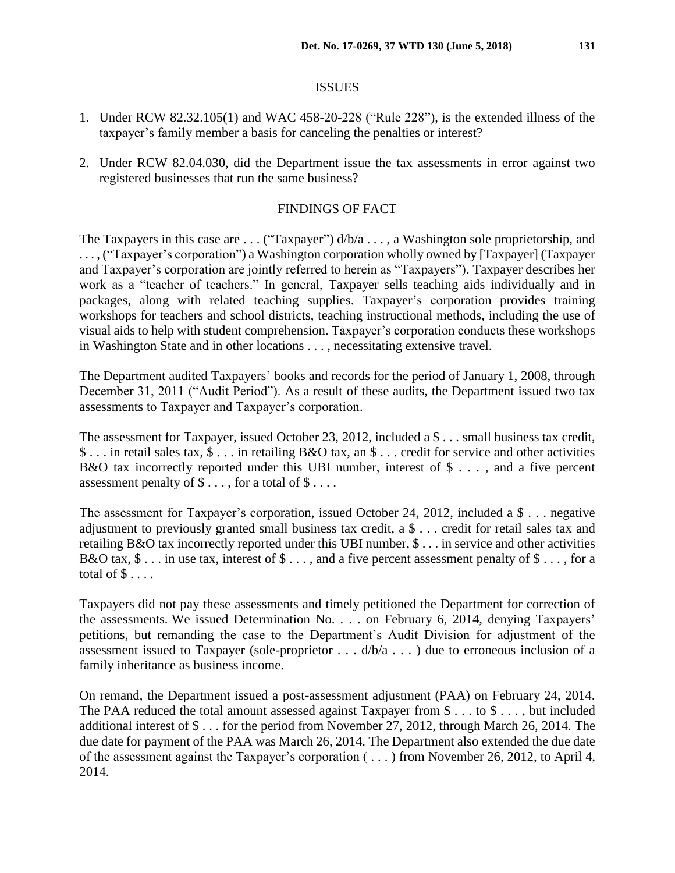#### ISSUES

- 1. Under RCW 82.32.105(1) and WAC 458-20-228 ("Rule 228"), is the extended illness of the taxpayer's family member a basis for canceling the penalties or interest?
- 2. Under RCW 82.04.030, did the Department issue the tax assessments in error against two registered businesses that run the same business?

## FINDINGS OF FACT

The Taxpayers in this case are . . . ("Taxpayer")  $d/b/a$  . . . , a Washington sole proprietorship, and . . . , ("Taxpayer's corporation") a Washington corporation wholly owned by [Taxpayer] (Taxpayer and Taxpayer's corporation are jointly referred to herein as "Taxpayers"). Taxpayer describes her work as a "teacher of teachers." In general, Taxpayer sells teaching aids individually and in packages, along with related teaching supplies. Taxpayer's corporation provides training workshops for teachers and school districts, teaching instructional methods, including the use of visual aids to help with student comprehension. Taxpayer's corporation conducts these workshops in Washington State and in other locations . . . , necessitating extensive travel.

The Department audited Taxpayers' books and records for the period of January 1, 2008, through December 31, 2011 ("Audit Period"). As a result of these audits, the Department issued two tax assessments to Taxpayer and Taxpayer's corporation.

The assessment for Taxpayer, issued October 23, 2012, included a \$ . . . small business tax credit, \$ . . . in retail sales tax, \$ . . . in retailing B&O tax, an \$ . . . credit for service and other activities B&O tax incorrectly reported under this UBI number, interest of  $\$\ldots$ , and a five percent assessment penalty of  $\$\dots$ , for a total of  $\$\dots$ .

The assessment for Taxpayer's corporation, issued October 24, 2012, included a \$ . . . negative adjustment to previously granted small business tax credit, a \$ . . . credit for retail sales tax and retailing B&O tax incorrectly reported under this UBI number, \$ . . . in service and other activities B&O tax,  $\$ \dots$  in use tax, interest of  $\$ \dots$ , and a five percent assessment penalty of  $\$ \dots$ , for a total of  $\$\ldots$ .

Taxpayers did not pay these assessments and timely petitioned the Department for correction of the assessments. We issued Determination No. . . . on February 6, 2014, denying Taxpayers' petitions, but remanding the case to the Department's Audit Division for adjustment of the assessment issued to Taxpayer (sole-proprietor  $\dots$  d/b/a  $\dots$  ) due to erroneous inclusion of a family inheritance as business income.

On remand, the Department issued a post-assessment adjustment (PAA) on February 24, 2014. The PAA reduced the total amount assessed against Taxpayer from \$ . . . to \$ . . . , but included additional interest of \$ . . . for the period from November 27, 2012, through March 26, 2014. The due date for payment of the PAA was March 26, 2014. The Department also extended the due date of the assessment against the Taxpayer's corporation ( . . . ) from November 26, 2012, to April 4, 2014.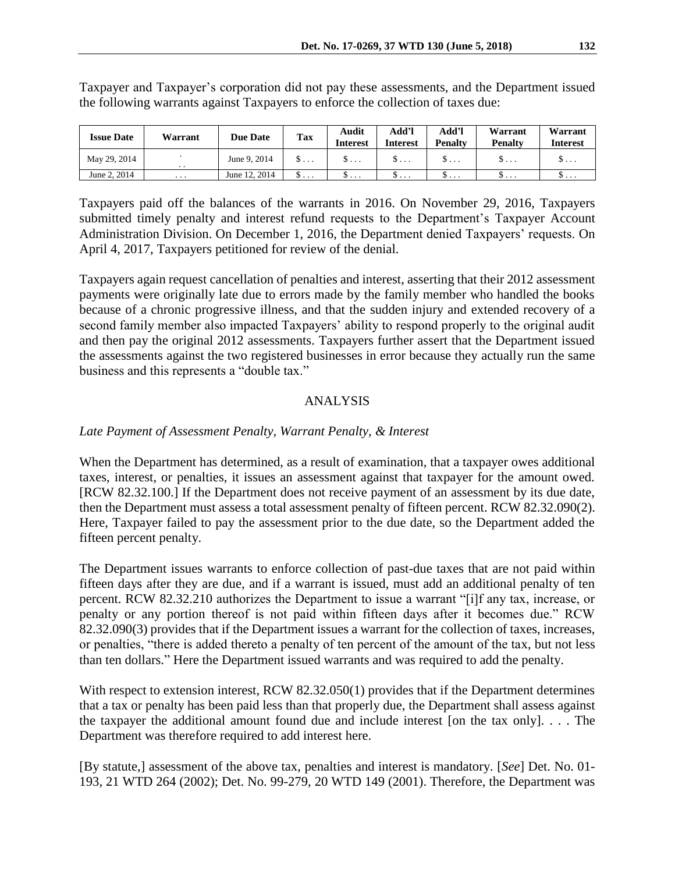| <b>Issue Date</b> | Warrant                 | <b>Due Date</b> | <b>Tax</b> | Audit<br><b>Interest</b> | Add'l<br>Interest | Add'l<br><b>Penalty</b> | Warrant<br><b>Penalty</b> | Warrant<br>Interest |
|-------------------|-------------------------|-----------------|------------|--------------------------|-------------------|-------------------------|---------------------------|---------------------|
| May 29, 2014      | $\cdot$ .               | June 9, 2014    | $S \ldots$ | σ                        | $S \ldots$        | ა                       | 3                         | $S \ldots$          |
| June 2, 2014      | $\cdot$ $\cdot$ $\cdot$ | June 12, 2014   | ……         | $\cdots$                 | σ                 | σ                       | ……                        | υ                   |

Taxpayer and Taxpayer's corporation did not pay these assessments, and the Department issued the following warrants against Taxpayers to enforce the collection of taxes due:

Taxpayers paid off the balances of the warrants in 2016. On November 29, 2016, Taxpayers submitted timely penalty and interest refund requests to the Department's Taxpayer Account Administration Division. On December 1, 2016, the Department denied Taxpayers' requests. On April 4, 2017, Taxpayers petitioned for review of the denial.

Taxpayers again request cancellation of penalties and interest, asserting that their 2012 assessment payments were originally late due to errors made by the family member who handled the books because of a chronic progressive illness, and that the sudden injury and extended recovery of a second family member also impacted Taxpayers' ability to respond properly to the original audit and then pay the original 2012 assessments. Taxpayers further assert that the Department issued the assessments against the two registered businesses in error because they actually run the same business and this represents a "double tax."

### ANALYSIS

### *Late Payment of Assessment Penalty, Warrant Penalty, & Interest*

When the Department has determined, as a result of examination, that a taxpayer owes additional taxes, interest, or penalties, it issues an assessment against that taxpayer for the amount owed. [RCW 82.32.100.] If the Department does not receive payment of an assessment by its due date, then the Department must assess a total assessment penalty of fifteen percent. RCW 82.32.090(2). Here, Taxpayer failed to pay the assessment prior to the due date, so the Department added the fifteen percent penalty.

The Department issues warrants to enforce collection of past-due taxes that are not paid within fifteen days after they are due, and if a warrant is issued, must add an additional penalty of ten percent. RCW 82.32.210 authorizes the Department to issue a warrant "[i]f any tax, increase, or penalty or any portion thereof is not paid within fifteen days after it becomes due." RCW 82.32.090(3) provides that if the Department issues a warrant for the collection of taxes, increases, or penalties, "there is added thereto a penalty of ten percent of the amount of the tax, but not less than ten dollars." Here the Department issued warrants and was required to add the penalty.

With respect to extension interest, RCW 82.32.050(1) provides that if the Department determines that a tax or penalty has been paid less than that properly due, the Department shall assess against the taxpayer the additional amount found due and include interest [on the tax only]. . . . The Department was therefore required to add interest here.

[By statute,] assessment of the above tax, penalties and interest is mandatory. [*See*] Det. No. 01- 193, 21 WTD 264 (2002); Det. No. 99-279, 20 WTD 149 (2001). Therefore, the Department was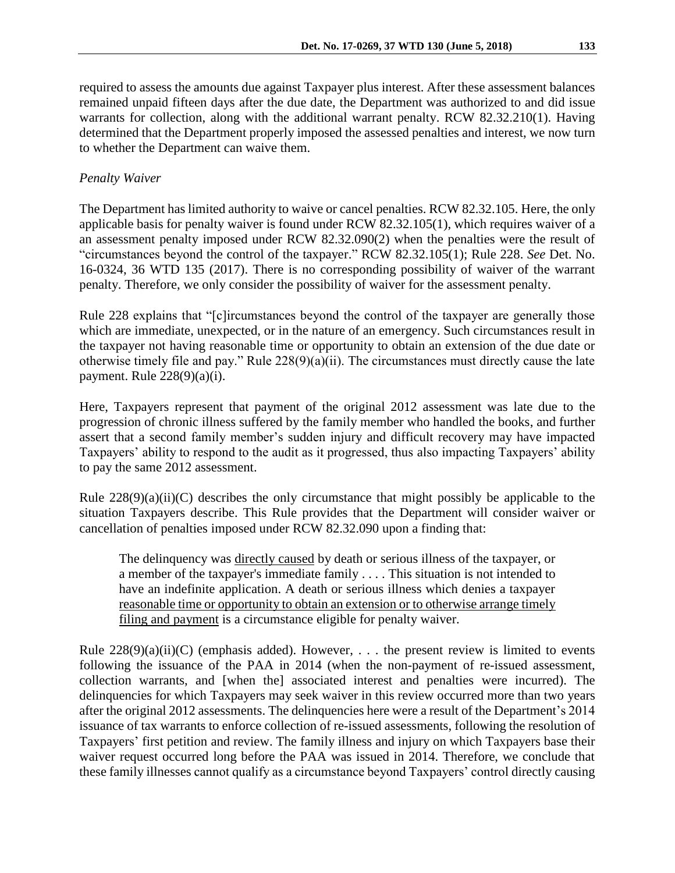required to assess the amounts due against Taxpayer plus interest. After these assessment balances remained unpaid fifteen days after the due date, the Department was authorized to and did issue warrants for collection, along with the additional warrant penalty. RCW 82.32.210(1). Having determined that the Department properly imposed the assessed penalties and interest, we now turn to whether the Department can waive them.

# *Penalty Waiver*

The Department has limited authority to waive or cancel penalties. RCW 82.32.105. Here, the only applicable basis for penalty waiver is found under RCW 82.32.105(1), which requires waiver of a an assessment penalty imposed under RCW 82.32.090(2) when the penalties were the result of "circumstances beyond the control of the taxpayer." RCW 82.32.105(1); Rule 228. *See* Det. No. 16-0324, 36 WTD 135 (2017). There is no corresponding possibility of waiver of the warrant penalty. Therefore, we only consider the possibility of waiver for the assessment penalty.

Rule 228 explains that "[c]ircumstances beyond the control of the taxpayer are generally those which are immediate, unexpected, or in the nature of an emergency. Such circumstances result in the taxpayer not having reasonable time or opportunity to obtain an extension of the due date or otherwise timely file and pay." Rule  $228(9)(a)(ii)$ . The circumstances must directly cause the late payment. Rule  $228(9)(a)(i)$ .

Here, Taxpayers represent that payment of the original 2012 assessment was late due to the progression of chronic illness suffered by the family member who handled the books, and further assert that a second family member's sudden injury and difficult recovery may have impacted Taxpayers' ability to respond to the audit as it progressed, thus also impacting Taxpayers' ability to pay the same 2012 assessment.

Rule  $228(9)(a)(ii)(C)$  describes the only circumstance that might possibly be applicable to the situation Taxpayers describe. This Rule provides that the Department will consider waiver or cancellation of penalties imposed under RCW 82.32.090 upon a finding that:

The delinquency was directly caused by death or serious illness of the taxpayer, or a member of the taxpayer's immediate family . . . . This situation is not intended to have an indefinite application. A death or serious illness which denies a taxpayer reasonable time or opportunity to obtain an extension or to otherwise arrange timely filing and payment is a circumstance eligible for penalty waiver.

Rule  $228(9)(a)(ii)(C)$  (emphasis added). However, ... the present review is limited to events following the issuance of the PAA in 2014 (when the non-payment of re-issued assessment, collection warrants, and [when the] associated interest and penalties were incurred). The delinquencies for which Taxpayers may seek waiver in this review occurred more than two years after the original 2012 assessments. The delinquencies here were a result of the Department's 2014 issuance of tax warrants to enforce collection of re-issued assessments, following the resolution of Taxpayers' first petition and review. The family illness and injury on which Taxpayers base their waiver request occurred long before the PAA was issued in 2014. Therefore, we conclude that these family illnesses cannot qualify as a circumstance beyond Taxpayers' control directly causing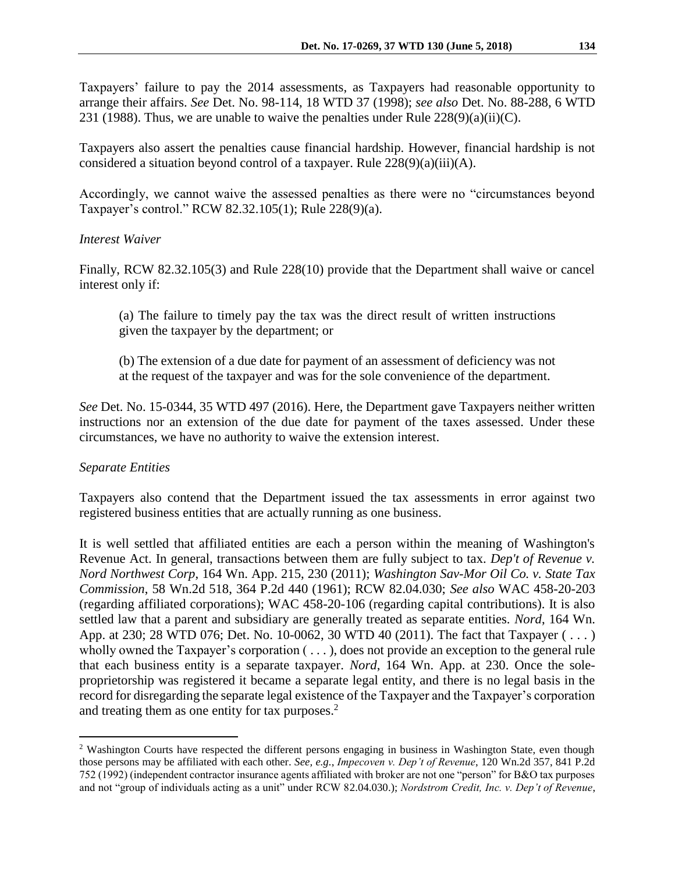Taxpayers' failure to pay the 2014 assessments, as Taxpayers had reasonable opportunity to arrange their affairs. *See* Det. No. 98-114, 18 WTD 37 (1998); *see also* Det. No. 88-288, 6 WTD 231 (1988). Thus, we are unable to waive the penalties under Rule  $228(9)(a)(ii)(C)$ .

Taxpayers also assert the penalties cause financial hardship. However, financial hardship is not considered a situation beyond control of a taxpayer. Rule 228(9)(a)(iii)(A).

Accordingly, we cannot waive the assessed penalties as there were no "circumstances beyond Taxpayer's control." RCW 82.32.105(1); Rule 228(9)(a).

#### *Interest Waiver*

Finally, RCW 82.32.105(3) and Rule 228(10) provide that the Department shall waive or cancel interest only if:

(a) The failure to timely pay the tax was the direct result of written instructions given the taxpayer by the department; or

(b) The extension of a due date for payment of an assessment of deficiency was not at the request of the taxpayer and was for the sole convenience of the department.

*See* Det. No. 15-0344, 35 WTD 497 (2016). Here, the Department gave Taxpayers neither written instructions nor an extension of the due date for payment of the taxes assessed. Under these circumstances, we have no authority to waive the extension interest.

### *Separate Entities*

 $\overline{a}$ 

Taxpayers also contend that the Department issued the tax assessments in error against two registered business entities that are actually running as one business.

It is well settled that affiliated entities are each a person within the meaning of Washington's Revenue Act. In general, transactions between them are fully subject to tax. *Dep't of Revenue v. Nord Northwest Corp*, 164 Wn. App. 215, 230 (2011); *Washington Sav-Mor Oil Co. v. State Tax Commission*, 58 Wn.2d 518, 364 P.2d 440 (1961); RCW 82.04.030; *See also* WAC 458-20-203 (regarding affiliated corporations); WAC 458-20-106 (regarding capital contributions). It is also settled law that a parent and subsidiary are generally treated as separate entities. *Nord*, 164 Wn. App. at 230; 28 WTD 076; Det. No. 10-0062, 30 WTD 40 (2011). The fact that Taxpayer ( . . . ) wholly owned the Taxpayer's corporation ( . . . ), does not provide an exception to the general rule that each business entity is a separate taxpayer. *Nord*, 164 Wn. App. at 230. Once the soleproprietorship was registered it became a separate legal entity, and there is no legal basis in the record for disregarding the separate legal existence of the Taxpayer and the Taxpayer's corporation and treating them as one entity for tax purposes.<sup>2</sup>

<sup>2</sup> Washington Courts have respected the different persons engaging in business in Washington State, even though those persons may be affiliated with each other. *See, e.g.*, *Impecoven v. Dep't of Revenue*, 120 Wn.2d 357, 841 P.2d 752 (1992) (independent contractor insurance agents affiliated with broker are not one "person" for B&O tax purposes and not "group of individuals acting as a unit" under RCW 82.04.030.); *Nordstrom Credit, Inc. v. Dep't of Revenue*,